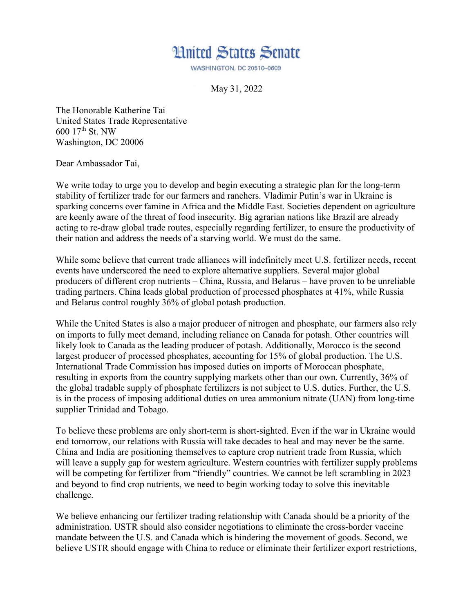

**WASHINGTON, DC 20510-0609** 

May 31, 2022

The Honorable Katherine Tai United States Trade Representative 600 17th St. NW Washington, DC 20006

Dear Ambassador Tai,

We write today to urge you to develop and begin executing a strategic plan for the long-term stability of fertilizer trade for our farmers and ranchers. Vladimir Putin's war in Ukraine is sparking concerns over famine in Africa and the Middle East. Societies dependent on agriculture are keenly aware of the threat of food insecurity. Big agrarian nations like Brazil are already acting to re-draw global trade routes, especially regarding fertilizer, to ensure the productivity of their nation and address the needs of a starving world. We must do the same.

While some believe that current trade alliances will indefinitely meet U.S. fertilizer needs, recent events have underscored the need to explore alternative suppliers. Several major global producers of different crop nutrients – China, Russia, and Belarus – have proven to be unreliable trading partners. China leads global production of processed phosphates at 41%, while Russia and Belarus control roughly 36% of global potash production.

While the United States is also a major producer of nitrogen and phosphate, our farmers also rely on imports to fully meet demand, including reliance on Canada for potash. Other countries will likely look to Canada as the leading producer of potash. Additionally, Morocco is the second largest producer of processed phosphates, accounting for 15% of global production. The U.S. International Trade Commission has imposed duties on imports of Moroccan phosphate, resulting in exports from the country supplying markets other than our own. Currently, 36% of the global tradable supply of phosphate fertilizers is not subject to U.S. duties. Further, the U.S. is in the process of imposing additional duties on urea ammonium nitrate (UAN) from long-time supplier Trinidad and Tobago.

To believe these problems are only short-term is short-sighted. Even if the war in Ukraine would end tomorrow, our relations with Russia will take decades to heal and may never be the same. China and India are positioning themselves to capture crop nutrient trade from Russia, which will leave a supply gap for western agriculture. Western countries with fertilizer supply problems will be competing for fertilizer from "friendly" countries. We cannot be left scrambling in 2023 and beyond to find crop nutrients, we need to begin working today to solve this inevitable challenge.

We believe enhancing our fertilizer trading relationship with Canada should be a priority of the administration. USTR should also consider negotiations to eliminate the cross-border vaccine mandate between the U.S. and Canada which is hindering the movement of goods. Second, we believe USTR should engage with China to reduce or eliminate their fertilizer export restrictions,